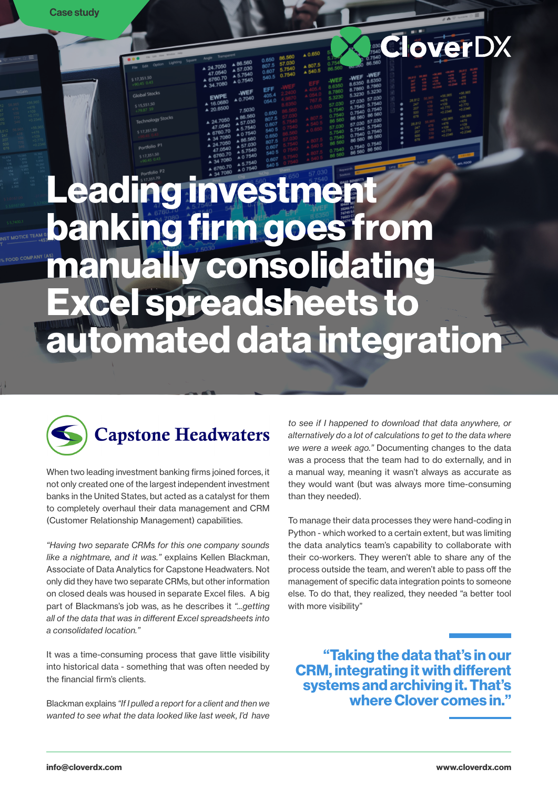# Leading investment banking firm goes from manually consolidating Excel spreadsheets to automated data integration



When two leading investment banking firms joined forces, it not only created one of the largest independent investment banks in the United States, but acted as a catalyst for them to completely overhaul their data management and CRM (Customer Relationship Management) capabilities.

*"Having two separate CRMs for this one company sounds like a nightmare, and it was."* explains Kellen Blackman, Associate of Data Analytics for Capstone Headwaters. Not only did they have two separate CRMs, but other information on closed deals was housed in separate Excel files. A big part of Blackmans's job was, as he describes it *"...getting all of the data that was in different Excel spreadsheets into a consolidated location."*

It was a time-consuming process that gave little visibility into historical data - something that was often needed by the financial firm's clients.

Blackman explains *"If I pulled a report for a client and then we*  wanted to see what the data looked like last week. I'd have *to see if I happened to download that data anywhere, or alternatively do a lot of calculations to get to the data where we were a week ago."* Documenting changes to the data was a process that the team had to do externally, and in a manual way, meaning it wasn't always as accurate as they would want (but was always more time-consuming than they needed).

**CloverDX** 

To manage their data processes they were hand-coding in Python - which worked to a certain extent, but was limiting the data analytics team's capability to collaborate with their co-workers. They weren't able to share any of the process outside the team, and weren't able to pass off the management of specific data integration points to someone else. To do that, they realized, they needed "a better tool with more visibility"

"Taking the data that's in our CRM, integrating it with different systems and archiving it. That's where Clover comes in."